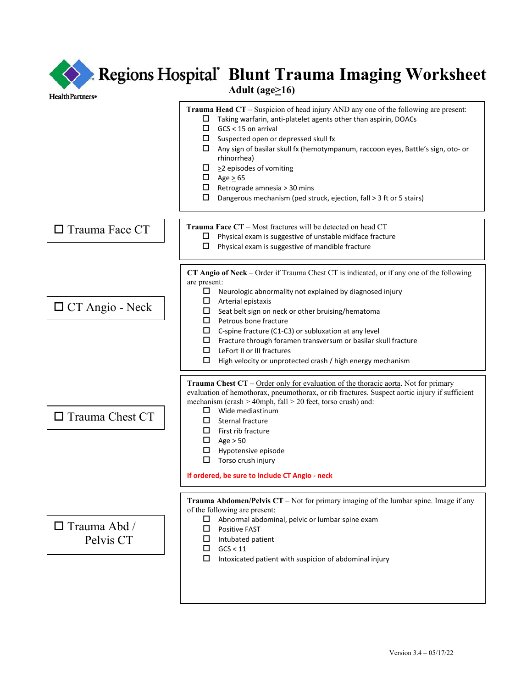| Regions Hospital' Blunt Trauma Imaging Worksheet<br>Adult (age $\geq$ 16)<br><b>HealthPartners</b> <sup>®</sup> |                                                                                                                                                                                                                                                                                                                                                                                                                                                                                                                                        |
|-----------------------------------------------------------------------------------------------------------------|----------------------------------------------------------------------------------------------------------------------------------------------------------------------------------------------------------------------------------------------------------------------------------------------------------------------------------------------------------------------------------------------------------------------------------------------------------------------------------------------------------------------------------------|
|                                                                                                                 | <b>Trauma Head CT</b> – Suspicion of head injury AND any one of the following are present:<br>Taking warfarin, anti-platelet agents other than aspirin, DOACs<br>ப<br>□<br>GCS < 15 on arrival<br>ш<br>Suspected open or depressed skull fx<br>Any sign of basilar skull fx (hemotympanum, raccoon eyes, Battle's sign, oto- or<br>ш<br>rhinorrhea)<br>$\geq$ 2 episodes of vomiting<br>ш<br>Age $\geq 65$<br>ш<br>Retrograde amnesia > 30 mins<br>ш<br>□<br>Dangerous mechanism (ped struck, ejection, fall > 3 ft or 5 stairs)       |
| $\Box$ Trauma Face CT                                                                                           | <b>Trauma Face CT</b> – Most fractures will be detected on head CT<br>Physical exam is suggestive of unstable midface fracture<br>ப<br>Physical exam is suggestive of mandible fracture                                                                                                                                                                                                                                                                                                                                                |
| $\Box$ CT Angio - Neck                                                                                          | CT Angio of Neck - Order if Trauma Chest CT is indicated, or if any one of the following<br>are present:<br>ш<br>Neurologic abnormality not explained by diagnosed injury<br>□<br>Arterial epistaxis<br>ш<br>Seat belt sign on neck or other bruising/hematoma<br>0<br>Petrous bone fracture<br>□<br>C-spine fracture (C1-C3) or subluxation at any level<br>Fracture through foramen transversum or basilar skull fracture<br>ш<br>□<br>LeFort II or III fractures<br>□<br>High velocity or unprotected crash / high energy mechanism |
| $\Box$ Trauma Chest CT                                                                                          | Trauma Chest CT – Order only for evaluation of the thoracic aorta. Not for primary<br>evaluation of hemothorax, pneumothorax, or rib fractures. Suspect aortic injury if sufficient<br>mechanism (crash > 40mph, fall > 20 feet, torso crush) and:<br>Wide mediastinum<br>□<br>Sternal fracture<br>□<br>First rib fracture<br>□<br>□<br>Age $> 50$<br>Hypotensive episode<br>ப<br>Torso crush injury<br>□<br>If ordered, be sure to include CT Angio - neck                                                                            |
| $\Box$ Trauma Abd /<br>Pelvis CT                                                                                | Trauma Abdomen/Pelvis CT - Not for primary imaging of the lumbar spine. Image if any<br>of the following are present:<br>□<br>Abnormal abdominal, pelvic or lumbar spine exam<br>□<br><b>Positive FAST</b><br>Intubated patient<br>⊔<br>GCS < 11<br>□<br>□<br>Intoxicated patient with suspicion of abdominal injury                                                                                                                                                                                                                   |